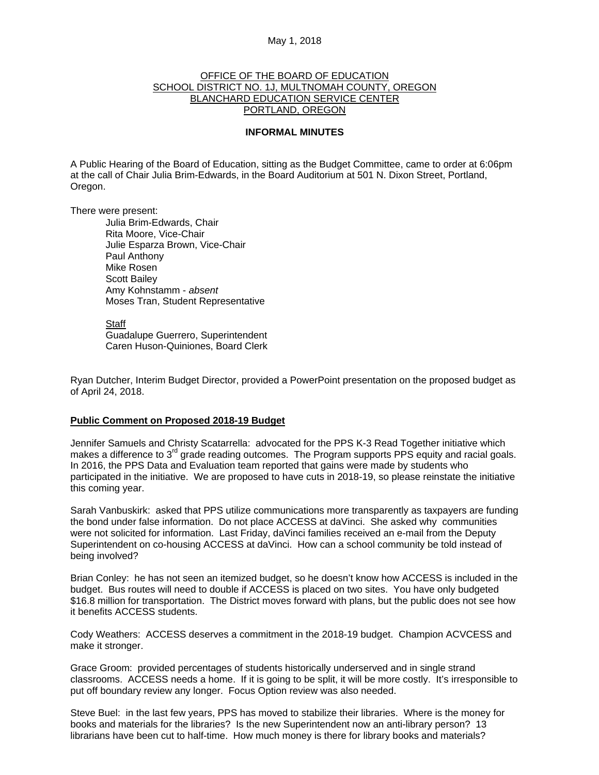# May 1, 2018

# OFFICE OF THE BOARD OF EDUCATION SCHOOL DISTRICT NO. 1J, MULTNOMAH COUNTY, OREGON BLANCHARD EDUCATION SERVICE CENTER PORTLAND, OREGON

### **INFORMAL MINUTES**

A Public Hearing of the Board of Education, sitting as the Budget Committee, came to order at 6:06pm at the call of Chair Julia Brim-Edwards, in the Board Auditorium at 501 N. Dixon Street, Portland, Oregon.

There were present: Julia Brim-Edwards, Chair Rita Moore, Vice-Chair Julie Esparza Brown, Vice-Chair Paul Anthony Mike Rosen Scott Bailey Amy Kohnstamm - *absent*  Moses Tran, Student Representative

> **Staff**  Guadalupe Guerrero, Superintendent Caren Huson-Quiniones, Board Clerk

Ryan Dutcher, Interim Budget Director, provided a PowerPoint presentation on the proposed budget as of April 24, 2018.

# **Public Comment on Proposed 2018-19 Budget**

Jennifer Samuels and Christy Scatarrella: advocated for the PPS K-3 Read Together initiative which makes a difference to  $3<sup>rd</sup>$  grade reading outcomes. The Program supports PPS equity and racial goals. In 2016, the PPS Data and Evaluation team reported that gains were made by students who participated in the initiative. We are proposed to have cuts in 2018-19, so please reinstate the initiative this coming year.

Sarah Vanbuskirk: asked that PPS utilize communications more transparently as taxpayers are funding the bond under false information. Do not place ACCESS at daVinci. She asked why communities were not solicited for information. Last Friday, daVinci families received an e-mail from the Deputy Superintendent on co-housing ACCESS at daVinci. How can a school community be told instead of being involved?

Brian Conley: he has not seen an itemized budget, so he doesn't know how ACCESS is included in the budget. Bus routes will need to double if ACCESS is placed on two sites. You have only budgeted \$16.8 million for transportation. The District moves forward with plans, but the public does not see how it benefits ACCESS students.

Cody Weathers: ACCESS deserves a commitment in the 2018-19 budget. Champion ACVCESS and make it stronger.

Grace Groom: provided percentages of students historically underserved and in single strand classrooms. ACCESS needs a home. If it is going to be split, it will be more costly. It's irresponsible to put off boundary review any longer. Focus Option review was also needed.

Steve Buel: in the last few years, PPS has moved to stabilize their libraries. Where is the money for books and materials for the libraries? Is the new Superintendent now an anti-library person? 13 librarians have been cut to half-time. How much money is there for library books and materials?